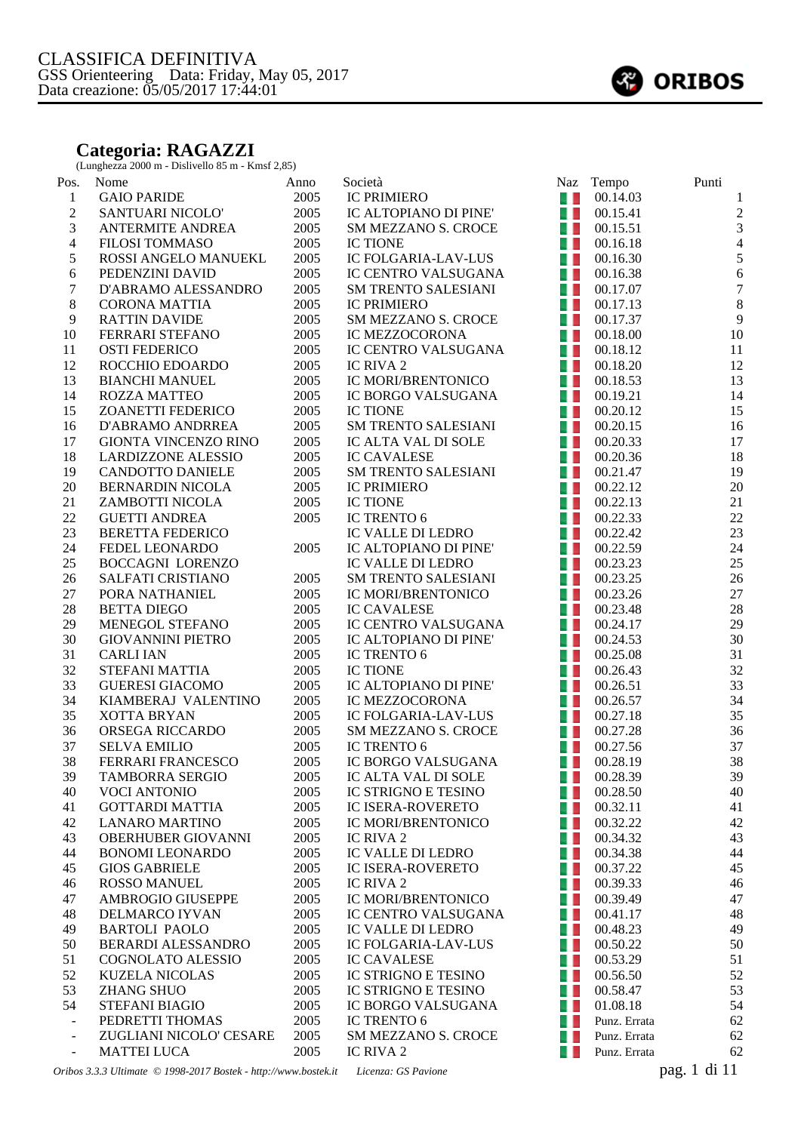## **Categoria: RAGAZZI**

(Lunghezza 2000 m - Dislivello 85 m - Kmsf 2,85)

| Pos.                     | Nome                        | Anno | Società                             |                | Naz Tempo               | Punti                    |
|--------------------------|-----------------------------|------|-------------------------------------|----------------|-------------------------|--------------------------|
| $\mathbf{1}$             | <b>GAIO PARIDE</b>          | 2005 | <b>IC PRIMIERO</b>                  |                | $\blacksquare$ 00.14.03 | 1                        |
| $\overline{c}$           | SANTUARI NICOLO'            | 2005 | IC ALTOPIANO DI PINE'               |                | $\blacksquare$ 00.15.41 | $\overline{\mathbf{c}}$  |
| 3                        | <b>ANTERMITE ANDREA</b>     | 2005 | <b>SM MEZZANO S. CROCE</b>          | a. L           | 00.15.51                | 3                        |
| $\overline{\mathcal{L}}$ | <b>FILOSI TOMMASO</b>       | 2005 | <b>IC TIONE</b>                     | 4. L           | 00.16.18                | $\overline{\mathcal{A}}$ |
| $\sqrt{5}$               | ROSSI ANGELO MANUEKL        | 2005 | IC FOLGARIA-LAV-LUS                 | a. L           | 00.16.30                | 5                        |
| 6                        | PEDENZINI DAVID             | 2005 | IC CENTRO VALSUGANA                 | u L            | 00.16.38                | $\epsilon$               |
| $\boldsymbol{7}$         | D'ABRAMO ALESSANDRO         | 2005 | <b>SM TRENTO SALESIANI</b>          | 41             | 00.17.07                | 7                        |
| $\,8\,$                  | <b>CORONA MATTIA</b>        | 2005 | <b>IC PRIMIERO</b>                  | a. L           | 00.17.13                | 8                        |
| 9                        | <b>RATTIN DAVIDE</b>        | 2005 | SM MEZZANO S. CROCE                 | a L            | 00.17.37                | 9                        |
| 10                       | FERRARI STEFANO             | 2005 | IC MEZZOCORONA                      | a. L           | 00.18.00                | 10                       |
| 11                       | <b>OSTI FEDERICO</b>        | 2005 | IC CENTRO VALSUGANA                 | a i            | 00.18.12                | 11                       |
| 12                       | ROCCHIO EDOARDO             | 2005 | IC RIVA 2                           | 4. L           | 00.18.20                | 12                       |
| 13                       | <b>BIANCHI MANUEL</b>       | 2005 | IC MORI/BRENTONICO                  | a p            | 00.18.53                | 13                       |
| 14                       | <b>ROZZA MATTEO</b>         | 2005 | IC BORGO VALSUGANA                  | 40             | 00.19.21                | 14                       |
| 15                       | <b>ZOANETTI FEDERICO</b>    | 2005 | <b>IC TIONE</b>                     | $\blacksquare$ | 00.20.12                | 15                       |
| 16                       | D'ABRAMO ANDRREA            | 2005 | <b>SM TRENTO SALESIANI</b>          | 4.             | 00.20.15                | 16                       |
| 17                       | <b>GIONTA VINCENZO RINO</b> | 2005 | IC ALTA VAL DI SOLE                 | $\blacksquare$ | 00.20.33                | 17                       |
| 18                       | <b>LARDIZZONE ALESSIO</b>   | 2005 | <b>IC CAVALESE</b>                  | 4. L           | 00.20.36                | 18                       |
| 19                       | <b>CANDOTTO DANIELE</b>     | 2005 | <b>SM TRENTO SALESIANI</b>          | a, p           | 00.21.47                | 19                       |
| 20                       | <b>BERNARDIN NICOLA</b>     | 2005 | <b>IC PRIMIERO</b>                  | a s            | 00.22.12                | 20                       |
| 21                       | ZAMBOTTI NICOLA             | 2005 | <b>IC TIONE</b>                     | a L            | 00.22.13                | 21                       |
| 22                       | <b>GUETTI ANDREA</b>        | 2005 | IC TRENTO 6                         | a L            | 00.22.33                | 22                       |
| 23                       | <b>BERETTA FEDERICO</b>     |      | IC VALLE DI LEDRO                   | 40             | 00.22.42                | 23                       |
| 24                       | FEDEL LEONARDO              | 2005 | IC ALTOPIANO DI PINE'               | u L            | 00.22.59                | 24                       |
| 25                       | <b>BOCCAGNI LORENZO</b>     |      | IC VALLE DI LEDRO                   | a. L           | 00.23.23                | 25                       |
| 26                       | SALFATI CRISTIANO           | 2005 | <b>SM TRENTO SALESIANI</b>          | a.             | 00.23.25                | 26                       |
| $27\,$                   | PORA NATHANIEL              | 2005 | IC MORI/BRENTONICO                  | a L            | 00.23.26                | 27                       |
| 28                       | <b>BETTA DIEGO</b>          | 2005 | <b>IC CAVALESE</b>                  | a. L           | 00.23.48                | 28                       |
| 29                       | MENEGOL STEFANO             | 2005 | IC CENTRO VALSUGANA                 | an in          | 00.24.17                | 29                       |
| 30                       | <b>GIOVANNINI PIETRO</b>    | 2005 | IC ALTOPIANO DI PINE'               | H. D           | 00.24.53                | 30                       |
| 31                       | <b>CARLI IAN</b>            | 2005 | IC TRENTO 6                         | a. L           | 00.25.08                | 31                       |
| 32                       | STEFANI MATTIA              | 2005 | <b>IC TIONE</b>                     | A.             | 00.26.43                | 32                       |
| 33                       | <b>GUERESI GIACOMO</b>      | 2005 | IC ALTOPIANO DI PINE'               | a. L           | 00.26.51                | 33                       |
| 34                       | KIAMBERAJ VALENTINO         | 2005 | <b>IC MEZZOCORONA</b>               | $\blacksquare$ | 00.26.57                | 34                       |
| 35                       | <b>XOTTA BRYAN</b>          | 2005 | <b>IC FOLGARIA-LAV-LUS</b>          | a. L           | 00.27.18                | 35                       |
| 36                       | ORSEGA RICCARDO             | 2005 | <b>SM MEZZANO S. CROCE</b>          | u L            | 00.27.28                | 36                       |
| 37                       | <b>SELVA EMILIO</b>         | 2005 | IC TRENTO 6                         | a.             | 00.27.56                | 37                       |
| 38                       | FERRARI FRANCESCO           | 2005 | IC BORGO VALSUGANA                  | a L            | 00.28.19                | 38                       |
| 39                       | TAMBORRA SERGIO             |      | 2005 IC ALTA VAL DI SOLE 1 00.28.39 |                |                         | 39                       |
| 40                       | <b>VOCI ANTONIO</b>         | 2005 | IC STRIGNO E TESINO                 | a. L           | 00.28.50                | 40                       |
| 41                       | <b>GOTTARDI MATTIA</b>      | 2005 | <b>IC ISERA-ROVERETO</b>            | 41             | 00.32.11                | 41                       |
| 42                       | <b>LANARO MARTINO</b>       | 2005 | IC MORI/BRENTONICO                  | a. L           | 00.32.22                | 42                       |
| 43                       | OBERHUBER GIOVANNI          | 2005 | IC RIVA 2                           | w              | 00.34.32                | 43                       |
| 44                       | <b>BONOMI LEONARDO</b>      | 2005 | <b>IC VALLE DI LEDRO</b>            | w              | 00.34.38                | 44                       |
| 45                       | <b>GIOS GABRIELE</b>        | 2005 | IC ISERA-ROVERETO                   | w              | 00.37.22                | 45                       |
| 46                       | <b>ROSSO MANUEL</b>         | 2005 | IC RIVA 2                           | u L            | 00.39.33                | 46                       |
| 47                       | <b>AMBROGIO GIUSEPPE</b>    | 2005 | <b>IC MORI/BRENTONICO</b>           | a. L           | 00.39.49                | 47                       |
| 48                       | <b>DELMARCO IYVAN</b>       | 2005 | IC CENTRO VALSUGANA                 | u L            | 00.41.17                | 48                       |
| 49                       | <b>BARTOLI PAOLO</b>        | 2005 | IC VALLE DI LEDRO                   | w              | 00.48.23                | 49                       |
| 50                       | BERARDI ALESSANDRO          | 2005 | IC FOLGARIA-LAV-LUS                 | 41             | 00.50.22                | 50                       |
| 51                       | COGNOLATO ALESSIO           | 2005 | <b>IC CAVALESE</b>                  | w              | 00.53.29                | 51                       |
| 52                       | <b>KUZELA NICOLAS</b>       | 2005 | IC STRIGNO E TESINO                 | w              | 00.56.50                | 52                       |
| 53                       | <b>ZHANG SHUO</b>           | 2005 | <b>IC STRIGNO E TESINO</b>          | w              | 00.58.47                | 53                       |
| 54                       | <b>STEFANI BIAGIO</b>       | 2005 | IC BORGO VALSUGANA                  | a. L           | 01.08.18                | 54                       |
| $\blacksquare$           | PEDRETTI THOMAS             | 2005 | IC TRENTO 6                         | u L            | Punz. Errata            | 62                       |
| $\blacksquare$           | ZUGLIANI NICOLO' CESARE     | 2005 | SM MEZZANO S. CROCE                 | w              | Punz. Errata            | 62                       |
| $\blacksquare$           | <b>MATTEI LUCA</b>          | 2005 | IC RIVA 2                           | w              | Punz. Errata            | 62                       |





*Oribos 3.3.3 Ultimate © 1998-2017 Bostek - http://www.bostek.it Licenza: GS Pavione* pag. 1 di 11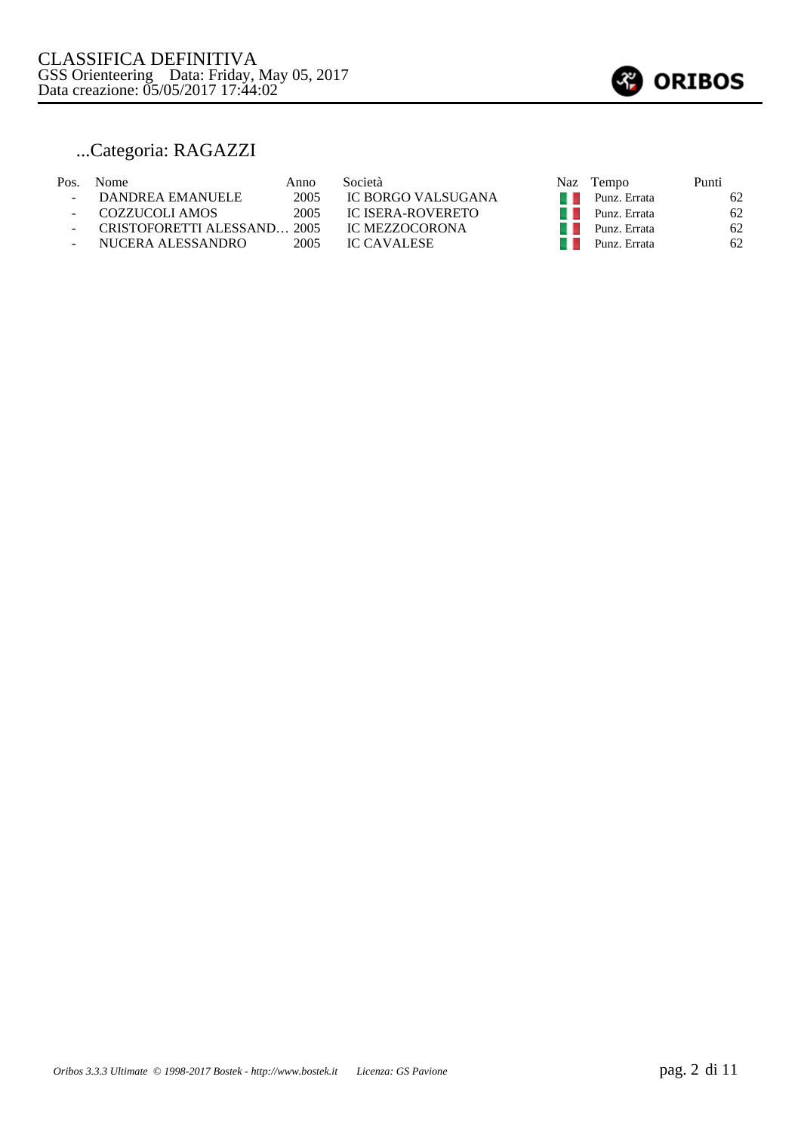

## ...Categoria: RAGAZZI

| Pos. | Nome.                       | Anno | Società                  | Naz Tempo    | Punti |
|------|-----------------------------|------|--------------------------|--------------|-------|
|      | DANDREA EMANUELE            | 2005 | IC BORGO VALSUGANA       | Punz. Errata | 62    |
|      | COZZUCOLI AMOS              | 2005 | <b>IC ISERA-ROVERETO</b> | Punz. Errata | 62    |
|      | CRISTOFORETTI ALESSAND 2005 |      | IC MEZZOCORONA           | Punz. Errata | 62    |
|      | NUCERA ALESSANDRO           | 2005 | <b>IC CAVALESE</b>       | Punz. Errata | 62    |
|      |                             |      |                          |              |       |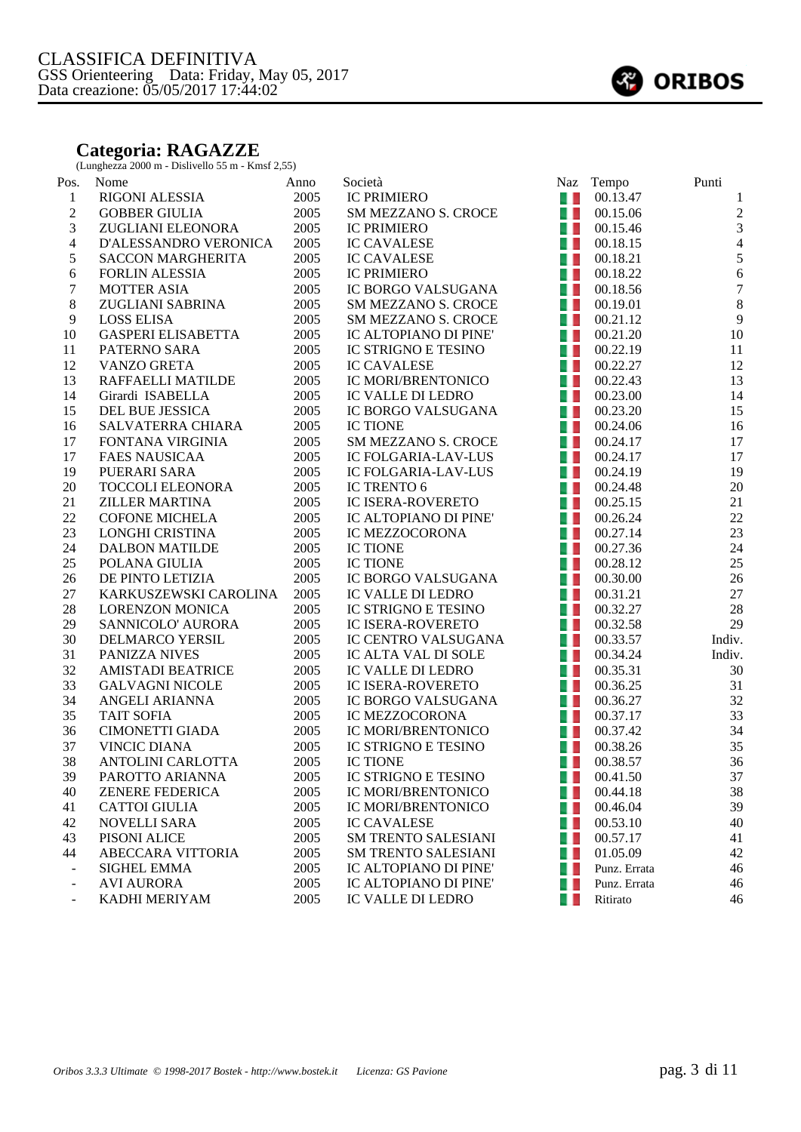## **Categoria: RAGAZZE**

(Lunghezza 2000 m - Dislivello 55 m - Kmsf 2,55)

| Pos.                     | Nome                      | Anno | Società                    | Naz            | Tempo                   | Punti            |
|--------------------------|---------------------------|------|----------------------------|----------------|-------------------------|------------------|
| $\mathbf{1}$             | RIGONI ALESSIA            | 2005 | <b>IC PRIMIERO</b>         | $\blacksquare$ | 00.13.47                | 1                |
| $\sqrt{2}$               | <b>GOBBER GIULIA</b>      | 2005 | SM MEZZANO S. CROCE        | a. L           | 00.15.06                | $\overline{2}$   |
| 3                        | ZUGLIANI ELEONORA         | 2005 | <b>IC PRIMIERO</b>         | a. L           | 00.15.46                | $\mathfrak{Z}$   |
| $\overline{4}$           | D'ALESSANDRO VERONICA     | 2005 | <b>IC CAVALESE</b>         | 41             | 00.18.15                | $\overline{4}$   |
| $\sqrt{5}$               | <b>SACCON MARGHERITA</b>  | 2005 | <b>IC CAVALESE</b>         | A.             | 00.18.21                | $\sqrt{5}$       |
| 6                        | FORLIN ALESSIA            | 2005 | <b>IC PRIMIERO</b>         | 4 L            | 00.18.22                | $\sqrt{6}$       |
| $\boldsymbol{7}$         | <b>MOTTER ASIA</b>        | 2005 | IC BORGO VALSUGANA         | a k            | 00.18.56                | $\boldsymbol{7}$ |
| $\,8\,$                  | ZUGLIANI SABRINA          | 2005 | SM MEZZANO S. CROCE        | 41             | 00.19.01                | $\, 8$           |
| 9                        | LOSS ELISA                | 2005 | SM MEZZANO S. CROCE        | 41             | 00.21.12                | 9                |
| 10                       | <b>GASPERI ELISABETTA</b> | 2005 | IC ALTOPIANO DI PINE'      | a. L           | 00.21.20                | 10               |
| 11                       | PATERNO SARA              | 2005 | IC STRIGNO E TESINO        | a. L           | 00.22.19                | 11               |
| 12                       | VANZO GRETA               | 2005 | <b>IC CAVALESE</b>         | A.             | 00.22.27                | 12               |
| 13                       | RAFFAELLI MATILDE         | 2005 | IC MORI/BRENTONICO         | A.             | 00.22.43                | 13               |
| 14                       | Girardi ISABELLA          | 2005 | IC VALLE DI LEDRO          | a.             | 00.23.00                | 14               |
| 15                       | DEL BUE JESSICA           | 2005 | IC BORGO VALSUGANA         | a.             | 00.23.20                | 15               |
| 16                       | SALVATERRA CHIARA         | 2005 | <b>IC TIONE</b>            | 4. L           | 00.24.06                | 16               |
| 17                       | FONTANA VIRGINIA          | 2005 | SM MEZZANO S. CROCE        | a L            | 00.24.17                | 17               |
| 17                       | <b>FAES NAUSICAA</b>      | 2005 | <b>IC FOLGARIA-LAV-LUS</b> | 41             | 00.24.17                | 17               |
| 19                       | PUERARI SARA              | 2005 | <b>IC FOLGARIA-LAV-LUS</b> | a. L           | 00.24.19                | 19               |
| 20                       | <b>TOCCOLI ELEONORA</b>   | 2005 | IC TRENTO 6                | a. L           | 00.24.48                | 20               |
| 21                       | <b>ZILLER MARTINA</b>     | 2005 | IC ISERA-ROVERETO          | A.             | 00.25.15                | 21               |
| 22                       | <b>COFONE MICHELA</b>     | 2005 | IC ALTOPIANO DI PINE'      | A.             | 00.26.24                | 22               |
| 23                       | LONGHI CRISTINA           | 2005 | IC MEZZOCORONA             | a.             | 00.27.14                | 23               |
| 24                       | <b>DALBON MATILDE</b>     | 2005 | <b>IC TIONE</b>            | 4 L            | 00.27.36                | 24               |
| 25                       | POLANA GIULIA             | 2005 | <b>IC TIONE</b>            | a L            | 00.28.12                | 25               |
| 26                       | DE PINTO LETIZIA          | 2005 | IC BORGO VALSUGANA         | 41             | 00.30.00                | 26               |
| 27                       | KARKUSZEWSKI CAROLINA     | 2005 | IC VALLE DI LEDRO          | 41             | 00.31.21                | 27               |
| $28\,$                   | <b>LORENZON MONICA</b>    | 2005 | IC STRIGNO E TESINO        | 41             | 00.32.27                | 28               |
| 29                       | SANNICOLO' AURORA         | 2005 | <b>IC ISERA-ROVERETO</b>   | a L            | 00.32.58                | 29               |
| 30                       | DELMARCO YERSIL           | 2005 | IC CENTRO VALSUGANA        | a.             | 00.33.57                | Indiv.           |
| 31                       | PANIZZA NIVES             | 2005 | IC ALTA VAL DI SOLE        | A.             | 00.34.24                | Indiv.           |
| 32                       | <b>AMISTADI BEATRICE</b>  | 2005 | IC VALLE DI LEDRO          | 41             | 00.35.31                | 30               |
| 33                       | <b>GALVAGNI NICOLE</b>    | 2005 | <b>IC ISERA-ROVERETO</b>   | 4 L            | 00.36.25                | 31               |
| 34                       | ANGELI ARIANNA            | 2005 | IC BORGO VALSUGANA         | a L            | 00.36.27                | 32               |
| 35                       | <b>TAIT SOFIA</b>         | 2005 | IC MEZZOCORONA             | 41             | 00.37.17                | 33               |
| 36                       | <b>CIMONETTI GIADA</b>    | 2005 | <b>IC MORI/BRENTONICO</b>  | a. L           | 00.37.42                | 34               |
| 37                       | <b>VINCIC DIANA</b>       | 2005 | <b>IC STRIGNO E TESINO</b> | a. L           | 00.38.26                | 35               |
| 38                       | ANTOLINI CARLOTTA         | 2005 | <b>IC TIONE</b>            | 41             | 00.38.57                | 36               |
| 39                       | PAROTTO ARIANNA           | 2005 | IC STRIGNO E TESINO        |                | $\blacksquare$ 00.41.50 | 37               |
| 40                       | ZENERE FEDERICA           | 2005 | IC MORI/BRENTONICO         |                | 00.44.18                | 38               |
| 41                       | <b>CATTOI GIULIA</b>      | 2005 | IC MORI/BRENTONICO         |                | 00.46.04                | 39               |
| 42                       | NOVELLI SARA              | 2005 | <b>IC CAVALESE</b>         | . .            | 00.53.10                | 40               |
| 43                       | PISONI ALICE              | 2005 | <b>SM TRENTO SALESIANI</b> | w              | 00.57.17                | 41               |
| 44                       | ABECCARA VITTORIA         | 2005 | <b>SM TRENTO SALESIANI</b> | H L            | 01.05.09                | 42               |
| $\overline{\phantom{a}}$ | <b>SIGHEL EMMA</b>        | 2005 | IC ALTOPIANO DI PINE'      | . .            | Punz. Errata            | 46               |
|                          | <b>AVI AURORA</b>         | 2005 | IC ALTOPIANO DI PINE'      | a ka           | Punz. Errata            | 46               |
| $\blacksquare$           | KADHI MERIYAM             | 2005 | IC VALLE DI LEDRO          | u.             | Ritirato                | 46               |
|                          |                           |      |                            |                |                         |                  |

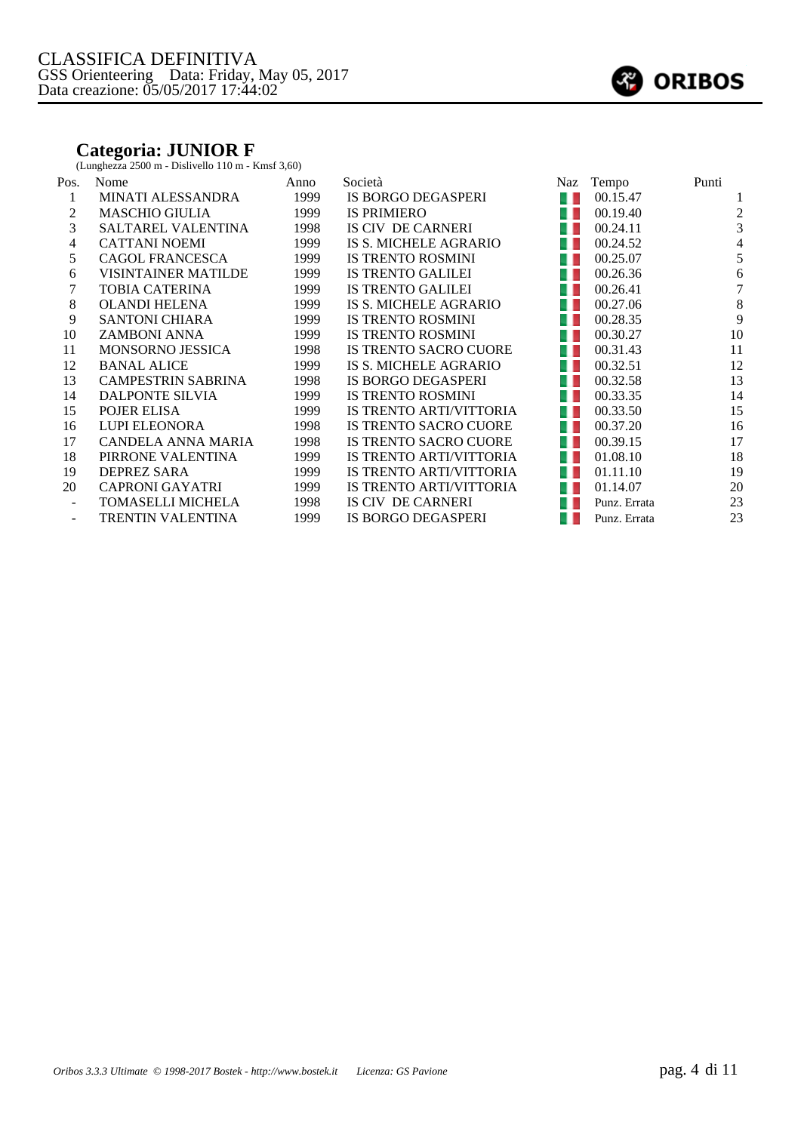## **Categoria: JUNIOR F**

(Lunghezza 2500 m - Dislivello 110 m - Kmsf 3,60)

| Pos.                     | Nome                       | Anno | Società                      | Naz        | Tempo        | Punti          |
|--------------------------|----------------------------|------|------------------------------|------------|--------------|----------------|
| 1                        | <b>MINATI ALESSANDRA</b>   | 1999 | IS BORGO DEGASPERI           | . .        | 00.15.47     |                |
| 2                        | <b>MASCHIO GIULIA</b>      | 1999 | <b>IS PRIMIERO</b>           | w          | 00.19.40     | 2              |
| 3                        | <b>SALTAREL VALENTINA</b>  | 1998 | IS CIV DE CARNERI            | w          | 00.24.11     | 3              |
| 4                        | <b>CATTANI NOEMI</b>       | 1999 | IS S. MICHELE AGRARIO        | <b>ALC</b> | 00.24.52     | $\overline{4}$ |
| 5                        | <b>CAGOL FRANCESCA</b>     | 1999 | <b>IS TRENTO ROSMINI</b>     | a ka       | 00.25.07     | 5              |
| 6                        | <b>VISINTAINER MATILDE</b> | 1999 | <b>IS TRENTO GALILEI</b>     | 9 H        | 00.26.36     | 6              |
| 7                        | <b>TOBIA CATERINA</b>      | 1999 | <b>IS TRENTO GALILEI</b>     | 41         | 00.26.41     | 7              |
| 8                        | <b>OLANDI HELENA</b>       | 1999 | IS S. MICHELE AGRARIO        | 4 L        | 00.27.06     | 8              |
| 9                        | <b>SANTONI CHIARA</b>      | 1999 | <b>IS TRENTO ROSMINI</b>     | a ka       | 00.28.35     | 9              |
| 10                       | <b>ZAMBONI ANNA</b>        | 1999 | <b>IS TRENTO ROSMINI</b>     | w          | 00.30.27     | 10             |
| 11                       | <b>MONSORNO JESSICA</b>    | 1998 | IS TRENTO SACRO CUORE        | 41         | 00.31.43     | 11             |
| 12                       | <b>BANAL ALICE</b>         | 1999 | IS S. MICHELE AGRARIO        | a ka       | 00.32.51     | 12             |
| 13                       | <b>CAMPESTRIN SABRINA</b>  | 1998 | IS BORGO DEGASPERI           | a ka       | 00.32.58     | 13             |
| 14                       | DALPONTE SILVIA            | 1999 | <b>IS TRENTO ROSMINI</b>     | a ka       | 00.33.35     | 14             |
| 15                       | POJER ELISA                | 1999 | IS TRENTO ARTI/VITTORIA      | 41         | 00.33.50     | 15             |
| 16                       | <b>LUPI ELEONORA</b>       | 1998 | <b>IS TRENTO SACRO CUORE</b> | 4 L        | 00.37.20     | 16             |
| 17                       | CANDELA ANNA MARIA         | 1998 | <b>IS TRENTO SACRO CUORE</b> | a ka       | 00.39.15     | 17             |
| 18                       | PIRRONE VALENTINA          | 1999 | IS TRENTO ARTI/VITTORIA      | a ka       | 01.08.10     | 18             |
| 19                       | <b>DEPREZ SARA</b>         | 1999 | IS TRENTO ARTI/VITTORIA      | w          | 01.11.10     | 19             |
| 20                       | <b>CAPRONI GAYATRI</b>     | 1999 | IS TRENTO ARTI/VITTORIA      |            | 01.14.07     | 20             |
| $\overline{\phantom{a}}$ | TOMASELLI MICHELA          | 1998 | IS CIV DE CARNERI            | a s        | Punz. Errata | 23             |
| $\overline{\phantom{a}}$ | TRENTIN VALENTINA          | 1999 | IS BORGO DEGASPERI           |            | Punz. Errata | 23             |

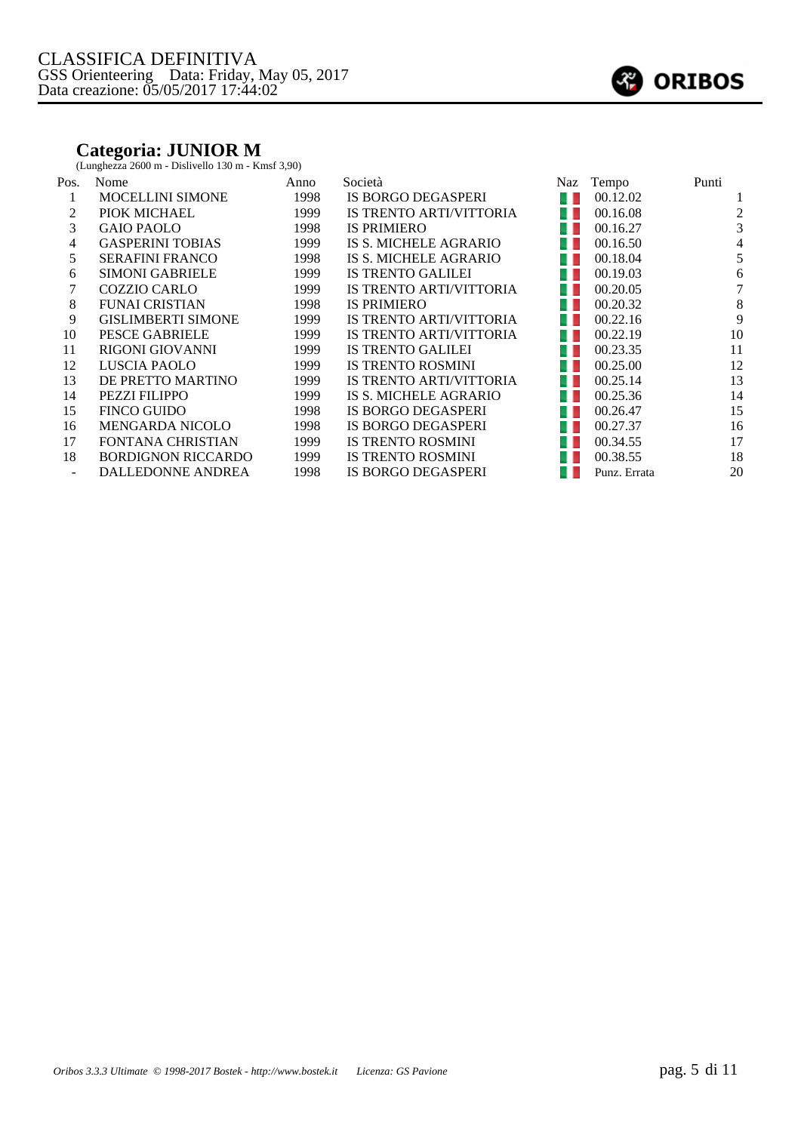## **Categoria: JUNIOR M**

(Lunghezza 2600 m - Dislivello 130 m - Kmsf 3,90)

| Pos. | Nome                      | Anno | Società                        | Naz  | Tempo        | Punti |
|------|---------------------------|------|--------------------------------|------|--------------|-------|
|      | <b>MOCELLINI SIMONE</b>   | 1998 | IS BORGO DEGASPERI             |      | 00.12.02     |       |
|      | PIOK MICHAEL              | 1999 | IS TRENTO ARTI/VITTORIA        |      | 00.16.08     | 2     |
| 3    | <b>GAIO PAOLO</b>         | 1998 | <b>IS PRIMIERO</b>             |      | 00.16.27     | 3     |
| 4    | <b>GASPERINI TOBIAS</b>   | 1999 | IS S. MICHELE AGRARIO          |      | 00.16.50     | 4     |
| 5    | <b>SERAFINI FRANCO</b>    | 1998 | IS S. MICHELE AGRARIO          |      | 00.18.04     | 5     |
| 6    | <b>SIMONI GABRIELE</b>    | 1999 | <b>IS TRENTO GALILEI</b>       | . .  | 00.19.03     | 6     |
|      | <b>COZZIO CARLO</b>       | 1999 | <b>IS TRENTO ARTI/VITTORIA</b> | u u  | 00.20.05     |       |
| 8    | <b>FUNAI CRISTIAN</b>     | 1998 | <b>IS PRIMIERO</b>             | . .  | 00.20.32     | 8     |
| 9    | <b>GISLIMBERTI SIMONE</b> | 1999 | IS TRENTO ARTI/VITTORIA        | . .  | 00.22.16     | 9     |
| 10   | PESCE GABRIELE            | 1999 | IS TRENTO ARTI/VITTORIA        | . .  | 00.22.19     | 10    |
| 11   | <b>RIGONI GIOVANNI</b>    | 1999 | <b>IS TRENTO GALILEI</b>       | . .  | 00.23.35     | 11    |
| 12   | LUSCIA PAOLO              | 1999 | <b>IS TRENTO ROSMINI</b>       |      | 00.25.00     | 12    |
| 13   | DE PRETTO MARTINO         | 1999 | IS TRENTO ARTI/VITTORIA        |      | 00.25.14     | 13    |
| 14   | <b>PEZZI FILIPPO</b>      | 1999 | IS S. MICHELE AGRARIO          |      | 00.25.36     | 14    |
| 15   | <b>FINCO GUIDO</b>        | 1998 | IS BORGO DEGASPERI             | w    | 00.26.47     | 15    |
| 16   | <b>MENGARDA NICOLO</b>    | 1998 | IS BORGO DEGASPERI             | . .  | 00.27.37     | 16    |
| 17   | <b>FONTANA CHRISTIAN</b>  | 1999 | <b>IS TRENTO ROSMINI</b>       | a ka | 00.34.55     | 17    |
| 18   | <b>BORDIGNON RICCARDO</b> | 1999 | <b>IS TRENTO ROSMINI</b>       |      | 00.38.55     | 18    |
|      | <b>DALLEDONNE ANDREA</b>  | 1998 | <b>IS BORGO DEGASPERI</b>      |      | Punz. Errata | 20    |

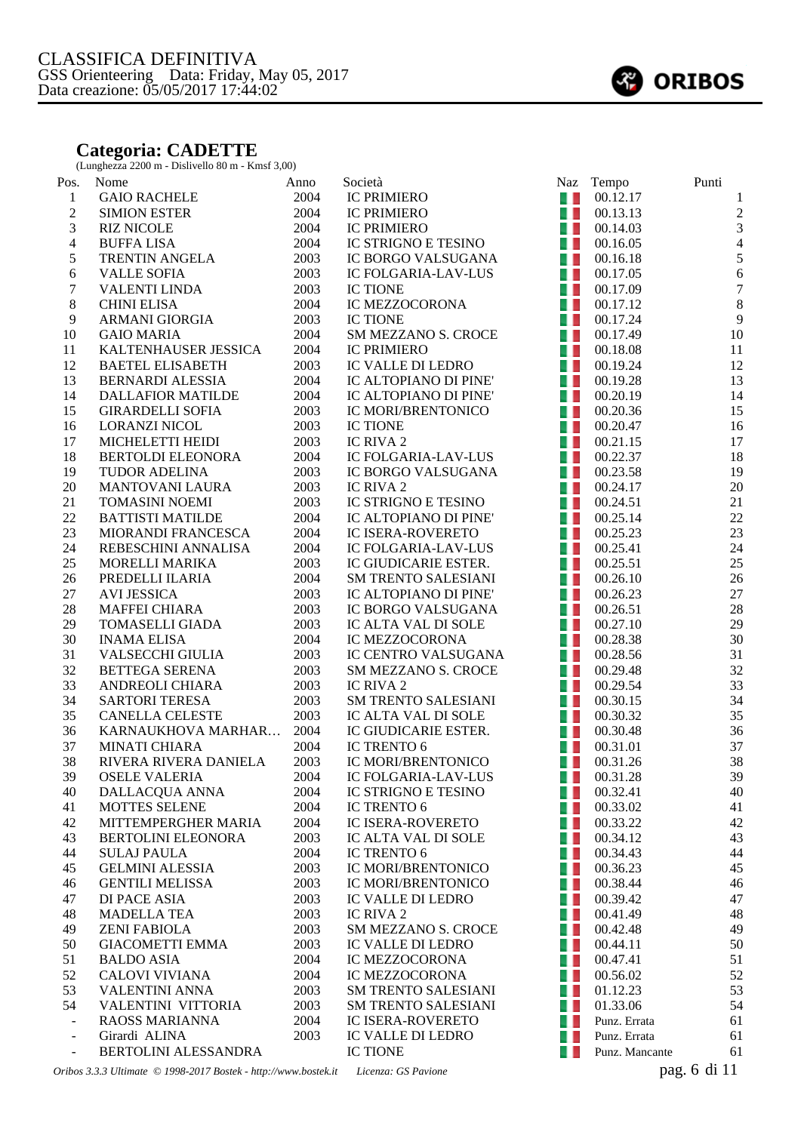## **Categoria: CADETTE**

(Lunghezza 2200 m - Dislivello 80 m - Kmsf 3,00)

| Pos.                    | Nome                                                            | Anno | Società                    | Naz  | Tempo                                                                                      | Punti            |
|-------------------------|-----------------------------------------------------------------|------|----------------------------|------|--------------------------------------------------------------------------------------------|------------------|
| $\mathbf{1}$            | <b>GAIO RACHELE</b>                                             | 2004 | <b>IC PRIMIERO</b>         | 41   | 00.12.17                                                                                   | 1                |
| $\mathfrak{2}$          | <b>SIMION ESTER</b>                                             | 2004 | <b>IC PRIMIERO</b>         | 40   | 00.13.13                                                                                   | $\overline{2}$   |
| $\mathfrak{Z}$          | <b>RIZ NICOLE</b>                                               | 2004 | <b>IC PRIMIERO</b>         | a L  | 00.14.03                                                                                   | $\overline{3}$   |
| $\overline{\mathbf{4}}$ | <b>BUFFALISA</b>                                                | 2004 | IC STRIGNO E TESINO        | u L  | 00.16.05                                                                                   | $\overline{4}$   |
| 5                       | TRENTIN ANGELA                                                  | 2003 | IC BORGO VALSUGANA         | u L  | 00.16.18                                                                                   | $\sqrt{5}$       |
| 6                       | <b>VALLE SOFIA</b>                                              | 2003 | IC FOLGARIA-LAV-LUS        | a L  | 00.17.05                                                                                   | $\sqrt{6}$       |
| $\boldsymbol{7}$        | <b>VALENTI LINDA</b>                                            | 2003 | <b>IC TIONE</b>            | 41   | 00.17.09                                                                                   | $\boldsymbol{7}$ |
| 8                       | <b>CHINI ELISA</b>                                              | 2004 | IC MEZZOCORONA             | - 1  | 00.17.12                                                                                   | $\,8\,$          |
| 9                       | ARMANI GIORGIA                                                  | 2003 | <b>IC TIONE</b>            | 41   | 00.17.24                                                                                   | 9                |
| 10                      | <b>GAIO MARIA</b>                                               | 2004 | <b>SM MEZZANO S. CROCE</b> | a. L | 00.17.49                                                                                   | 10               |
| 11                      | KALTENHAUSER JESSICA                                            | 2004 | <b>IC PRIMIERO</b>         | a. L | 00.18.08                                                                                   | 11               |
| 12                      | <b>BAETEL ELISABETH</b>                                         | 2003 | <b>IC VALLE DI LEDRO</b>   | 40   | 00.19.24                                                                                   | 12               |
| 13                      | <b>BERNARDI ALESSIA</b>                                         | 2004 | IC ALTOPIANO DI PINE'      | a L  | 00.19.28                                                                                   | 13               |
| 14                      | <b>DALLAFIOR MATILDE</b>                                        | 2004 | IC ALTOPIANO DI PINE'      | a L  | 00.20.19                                                                                   | 14               |
| 15                      | <b>GIRARDELLI SOFIA</b>                                         | 2003 | IC MORI/BRENTONICO         | a L  | 00.20.36                                                                                   | 15               |
| 16                      | <b>LORANZI NICOL</b>                                            | 2003 | <b>IC TIONE</b>            | 41   | 00.20.47                                                                                   | 16               |
| 17                      | MICHELETTI HEIDI                                                | 2003 | IC RIVA 2                  | 41   | 00.21.15                                                                                   | 17               |
| 18                      | <b>BERTOLDI ELEONORA</b>                                        | 2004 | IC FOLGARIA-LAV-LUS        | a. L | 00.22.37                                                                                   | 18               |
| 19                      | TUDOR ADELINA                                                   | 2003 | IC BORGO VALSUGANA         | a. L | 00.23.58                                                                                   | 19               |
| 20                      | <b>MANTOVANI LAURA</b>                                          | 2003 | IC RIVA 2                  | a. L | 00.24.17                                                                                   | 20               |
| 21                      | <b>TOMASINI NOEMI</b>                                           | 2003 | IC STRIGNO E TESINO        | 4 L  | 00.24.51                                                                                   | 21               |
| 22                      | <b>BATTISTI MATILDE</b>                                         | 2004 | IC ALTOPIANO DI PINE'      | u L  | 00.25.14                                                                                   | 22               |
| 23                      | MIORANDI FRANCESCA                                              | 2004 | <b>IC ISERA-ROVERETO</b>   | u L  | 00.25.23                                                                                   | 23               |
| 24                      | REBESCHINI ANNALISA                                             | 2004 | IC FOLGARIA-LAV-LUS        | a L  | 00.25.41                                                                                   | 24               |
| 25                      | <b>MORELLI MARIKA</b>                                           | 2003 | IC GIUDICARIE ESTER.       | - 1  | 00.25.51                                                                                   | 25               |
| 26                      | PREDELLI ILARIA                                                 | 2004 | <b>SM TRENTO SALESIANI</b> | 41   | 00.26.10                                                                                   | 26               |
| 27                      | <b>AVI JESSICA</b>                                              | 2003 | IC ALTOPIANO DI PINE'      | - 1  | 00.26.23                                                                                   | 27               |
| 28                      | <b>MAFFEI CHIARA</b>                                            | 2003 | IC BORGO VALSUGANA         | 41   | 00.26.51                                                                                   | 28               |
| 29                      | TOMASELLI GIADA                                                 | 2003 | IC ALTA VAL DI SOLE        | a. L | 00.27.10                                                                                   | 29               |
| 30                      | <b>INAMA ELISA</b>                                              | 2004 | IC MEZZOCORONA             | 41   | 00.28.38                                                                                   | 30               |
| 31                      | VALSECCHI GIULIA                                                | 2003 | IC CENTRO VALSUGANA        | a L  | 00.28.56                                                                                   | 31               |
| 32                      | <b>BETTEGA SERENA</b>                                           | 2003 | <b>SM MEZZANO S. CROCE</b> | A.   | 00.29.48                                                                                   | 32               |
| 33                      | ANDREOLI CHIARA                                                 | 2003 | IC RIVA 2                  | 41   | 00.29.54                                                                                   | 33               |
| 34                      | <b>SARTORI TERESA</b>                                           | 2003 | <b>SM TRENTO SALESIANI</b> | 41   | 00.30.15                                                                                   | 34               |
| 35                      | CANELLA CELESTE                                                 | 2003 | IC ALTA VAL DI SOLE        | 4 L  | 00.30.32                                                                                   | 35               |
| 36                      | KARNAUKHOVA MARHAR                                              | 2004 | IC GIUDICARIE ESTER.       | 41   | 00.30.48                                                                                   | 36               |
| 37                      | <b>MINATI CHIARA</b>                                            | 2004 | IC TRENTO 6                | a. L | 00.31.01                                                                                   | 37               |
| 38                      | RIVERA RIVERA DANIELA                                           | 2003 | IC MORI/BRENTONICO         | a.   | 00.31.26                                                                                   | 38               |
| 39                      | <b>OSELE VALERIA</b>                                            | 2004 | IC FOLGARIA-LAV-LUS        |      | $\begin{array}{ c c c } \hline \hline \multicolumn{1}{ c }{00.31.28} \\\hline \end{array}$ | 39               |
| 40                      | DALLACQUA ANNA                                                  | 2004 | IC STRIGNO E TESINO        | u L  | 00.32.41                                                                                   | 40               |
| 41                      | MOTTES SELENE                                                   | 2004 | IC TRENTO 6                | u L  | 00.33.02                                                                                   | 41               |
| 42                      | MITTEMPERGHER MARIA                                             | 2004 | IC ISERA-ROVERETO          | w    | 00.33.22                                                                                   | 42               |
| 43                      | BERTOLINI ELEONORA                                              | 2003 | IC ALTA VAL DI SOLE        | w    | 00.34.12                                                                                   | 43               |
| 44                      | <b>SULAJ PAULA</b>                                              | 2004 | IC TRENTO 6                | 40   | 00.34.43                                                                                   | 44               |
| 45                      | <b>GELMINI ALESSIA</b>                                          | 2003 | IC MORI/BRENTONICO         | L L  | 00.36.23                                                                                   | 45               |
| 46                      | <b>GENTILI MELISSA</b>                                          | 2003 | IC MORI/BRENTONICO         | w    | 00.38.44                                                                                   | 46               |
| 47                      | DI PACE ASIA                                                    | 2003 | IC VALLE DI LEDRO          | w    | 00.39.42                                                                                   | 47               |
| 48                      | <b>MADELLA TEA</b>                                              | 2003 | IC RIVA 2                  | u L  | 00.41.49                                                                                   | 48               |
| 49                      | <b>ZENI FABIOLA</b>                                             | 2003 | SM MEZZANO S. CROCE        | 41   | 00.42.48                                                                                   | 49               |
| 50                      | <b>GIACOMETTI EMMA</b>                                          | 2003 | IC VALLE DI LEDRO          | u L  | 00.44.11                                                                                   | 50               |
| 51                      | <b>BALDO ASIA</b>                                               | 2004 | IC MEZZOCORONA             | 40   | 00.47.41                                                                                   | 51               |
| 52                      | <b>CALOVI VIVIANA</b>                                           | 2004 | IC MEZZOCORONA             | 41   | 00.56.02                                                                                   | 52               |
| 53                      | <b>VALENTINI ANNA</b>                                           | 2003 | <b>SM TRENTO SALESIANI</b> | 41   | 01.12.23                                                                                   | 53               |
| 54                      | VALENTINI VITTORIA                                              | 2003 | <b>SM TRENTO SALESIANI</b> | a L  | 01.33.06                                                                                   | 54               |
| $\Box$                  | RAOSS MARIANNA                                                  | 2004 | <b>IC ISERA-ROVERETO</b>   | w    | Punz. Errata                                                                               | 61               |
| $\blacksquare$          | Girardi ALINA                                                   | 2003 | IC VALLE DI LEDRO          | . .  | Punz. Errata                                                                               | 61               |
| $\blacksquare$          | BERTOLINI ALESSANDRA                                            |      | <b>IC TIONE</b>            | . .  | Punz. Mancante                                                                             | 61               |
|                         |                                                                 |      |                            |      |                                                                                            |                  |
|                         | Oribos 3.3.3 Ultimate © 1998-2017 Bostek - http://www.bostek.it |      | Licenza: GS Pavione        |      |                                                                                            | pag. 6 di 11     |

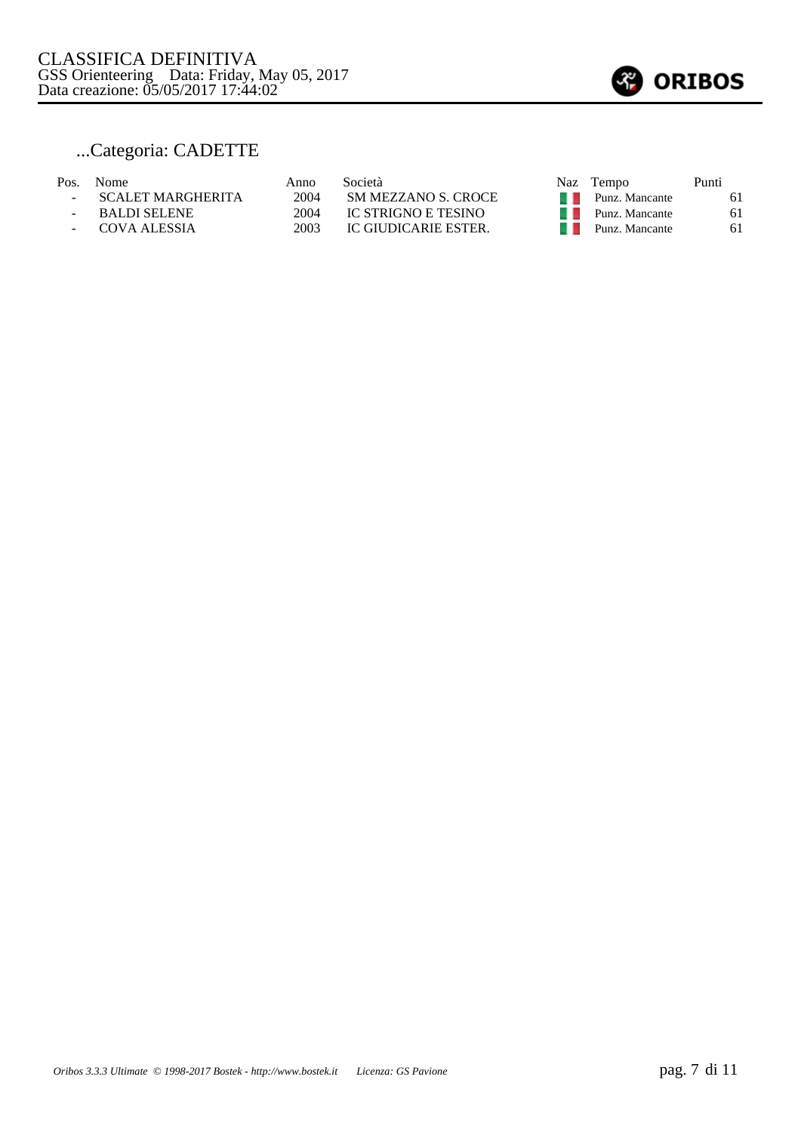

## ...Categoria: CADETTE

| Pos. | <b>Nome</b>       | Anno | Società              |     | Naz Tempo                     | Punti |
|------|-------------------|------|----------------------|-----|-------------------------------|-------|
|      | SCALET MARGHERITA | 2004 | SM MEZZANO S. CROCE  |     | $\blacksquare$ Punz. Mancante | 61    |
|      | BALDI SELENE      | 2004 | IC STRIGNO E TESINO  | . . | Punz. Mancante                | 61    |
|      | - COVA ALESSIA    | 2003 | IC GIUDICARIE ESTER. |     | Punz. Mancante                | 61    |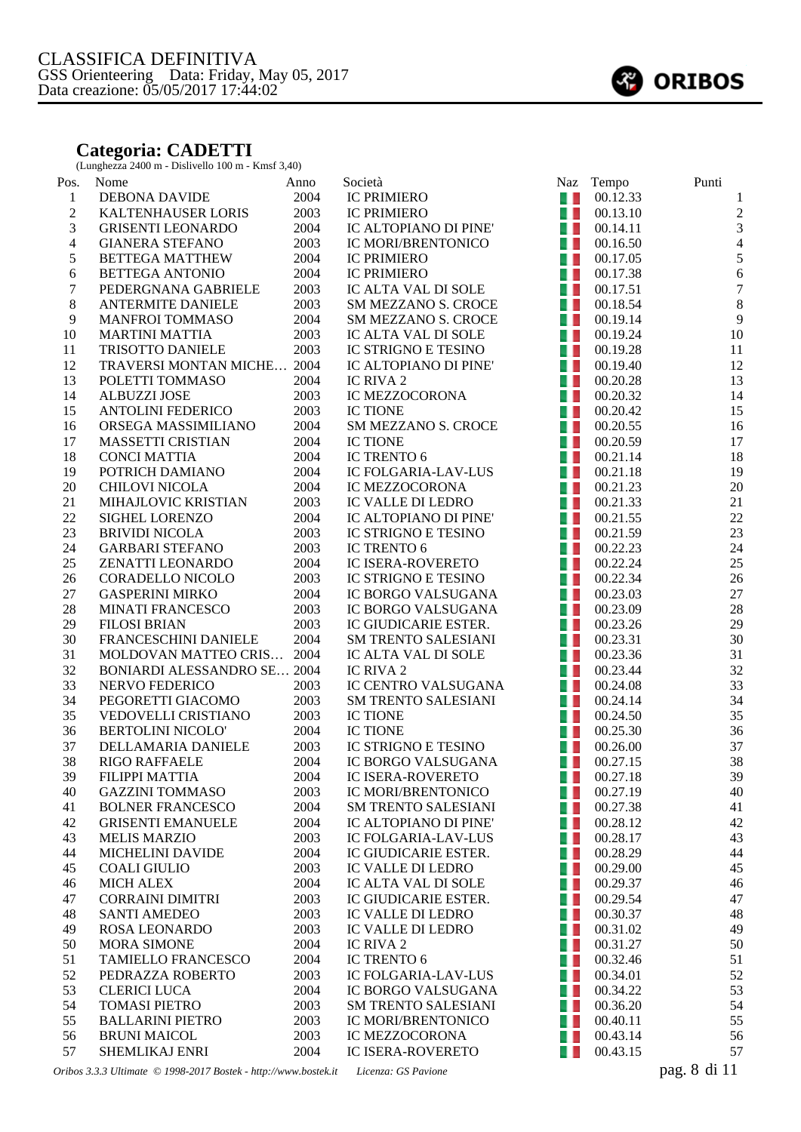## **Categoria: CADETTI**

(Lunghezza 2400 m - Dislivello 100 m - Kmsf 3,40)

| Pos.             | Nome                                                            | Anno | Società                    |                | Naz Tempo               | Punti            |
|------------------|-----------------------------------------------------------------|------|----------------------------|----------------|-------------------------|------------------|
| $\mathbf{1}$     | DEBONA DAVIDE                                                   | 2004 | <b>IC PRIMIERO</b>         | $\blacksquare$ | 00.12.33                | $\mathbf{1}$     |
| $\sqrt{2}$       | KALTENHAUSER LORIS                                              | 2003 | <b>IC PRIMIERO</b>         | a, L           | 00.13.10                | $\sqrt{2}$       |
| $\overline{3}$   | <b>GRISENTI LEONARDO</b>                                        | 2004 | IC ALTOPIANO DI PINE'      | a, L           | 00.14.11                | $\overline{3}$   |
| $\overline{4}$   | <b>GIANERA STEFANO</b>                                          | 2003 | IC MORI/BRENTONICO         | H. D           | 00.16.50                | $\overline{4}$   |
| 5                | <b>BETTEGA MATTHEW</b>                                          | 2004 | <b>IC PRIMIERO</b>         |                |                         | $\sqrt{5}$       |
| 6                | <b>BETTEGA ANTONIO</b>                                          | 2004 | <b>IC PRIMIERO</b>         | u L            | 00.17.38                | $\sqrt{6}$       |
| $\boldsymbol{7}$ | PEDERGNANA GABRIELE                                             | 2003 | IC ALTA VAL DI SOLE        | A.             | 00.17.51                | $\boldsymbol{7}$ |
| 8                | <b>ANTERMITE DANIELE</b>                                        | 2003 | <b>SM MEZZANO S. CROCE</b> |                | $\blacksquare$ 00.18.54 | $\,8\,$          |
| 9                | <b>MANFROI TOMMASO</b>                                          | 2004 | <b>SM MEZZANO S. CROCE</b> | 41             | 00.19.14                | $\overline{9}$   |
| 10               | <b>MARTINI MATTIA</b>                                           | 2003 | IC ALTA VAL DI SOLE        | 4 L            | 00.19.24                | 10               |
| 11               | TRISOTTO DANIELE                                                | 2003 | IC STRIGNO E TESINO        | a p            | 00.19.28                | 11               |
| 12               | TRAVERSI MONTAN MICHE 2004                                      |      | IC ALTOPIANO DI PINE'      | a p            | 00.19.40                | 12               |
| 13               | POLETTI TOMMASO                                                 | 2004 | IC RIVA 2                  | L L            | 00.20.28                | 13               |
| 14               | <b>ALBUZZI JOSE</b>                                             | 2003 | IC MEZZOCORONA             | 4 L            | 00.20.32                | 14               |
| 15               | <b>ANTOLINI FEDERICO</b>                                        | 2003 | <b>IC TIONE</b>            | 4 L            | 00.20.42                | 15               |
| 16               | ORSEGA MASSIMILIANO                                             | 2004 | SM MEZZANO S. CROCE        | 4 L            | 00.20.55                | 16               |
| 17               | MASSETTI CRISTIAN                                               | 2004 | <b>IC TIONE</b>            |                | $\blacksquare$ 00.20.59 | 17               |
| 18               | <b>CONCI MATTIA</b>                                             | 2004 | IC TRENTO 6                | 41             | 00.21.14                | 18               |
| 19               | POTRICH DAMIANO                                                 | 2004 | IC FOLGARIA-LAV-LUS        | a. L           | 00.21.18                | 19               |
| $20\,$           | <b>CHILOVI NICOLA</b>                                           | 2004 | IC MEZZOCORONA             | a. L           | 00.21.23                | $20\,$           |
| 21               | MIHAJLOVIC KRISTIAN                                             | 2003 | IC VALLE DI LEDRO          | a, L           | 00.21.33                | 21               |
| 22               | SIGHEL LORENZO                                                  | 2004 | IC ALTOPIANO DI PINE'      | L D            | 00.21.55                | $22\,$           |
| 23               | <b>BRIVIDI NICOLA</b>                                           | 2003 | <b>IC STRIGNO E TESINO</b> |                |                         | 23               |
| 24               | <b>GARBARI STEFANO</b>                                          | 2003 | IC TRENTO 6                |                | $\blacksquare$ 00.22.23 | 24               |
| 25               | ZENATTI LEONARDO                                                | 2004 | IC ISERA-ROVERETO          |                | $\blacksquare$ 00.22.24 | 25               |
| 26               | CORADELLO NICOLO                                                | 2003 | IC STRIGNO E TESINO        |                | $\blacksquare$ 00.22.34 | 26               |
| $27\,$           | <b>GASPERINI MIRKO</b>                                          | 2004 | IC BORGO VALSUGANA         | u p            | 00.23.03                | 27               |
| $28\,$           | <b>MINATI FRANCESCO</b>                                         | 2003 | IC BORGO VALSUGANA         | 41             | 00.23.09                | $28\,$           |
| 29               | <b>FILOSI BRIAN</b>                                             | 2003 | IC GIUDICARIE ESTER.       | a.             | 00.23.26                | 29               |
| 30               | FRANCESCHINI DANIELE                                            | 2004 | <b>SM TRENTO SALESIANI</b> | a. L           | 00.23.31                | 30               |
| 31               | MOLDOVAN MATTEO CRIS 2004                                       |      | IC ALTA VAL DI SOLE        | u.             | 00.23.36                | 31               |
| 32               | <b>BONIARDI ALESSANDRO SE 2004</b>                              |      | IC RIVA 2                  | a p            | 00.23.44                | 32               |
| 33               | NERVO FEDERICO                                                  | 2003 | IC CENTRO VALSUGANA        |                | $\blacksquare$ 00.24.08 | 33               |
| 34               | PEGORETTI GIACOMO                                               | 2003 | <b>SM TRENTO SALESIANI</b> |                | $\blacksquare$ 00.24.14 | 34               |
| 35               | VEDOVELLI CRISTIANO                                             | 2003 | <b>IC TIONE</b>            |                | $\blacksquare$ 00.24.50 | 35               |
| 36               | <b>BERTOLINI NICOLO'</b>                                        | 2004 | <b>IC TIONE</b>            | a N            | 00.25.30                | 36               |
| 37               | DELLAMARIA DANIELE                                              | 2003 | IC STRIGNO E TESINO        | 4 L            | 00.26.00                | 37               |
| 38               | <b>RIGO RAFFAELE</b>                                            | 2004 | IC BORGO VALSUGANA         | u. L           | 00.27.15                | 38               |
| 39               | FILIPPI MATTIA                                                  | 2004 | IC ISERA-ROVERETO          | ч.             | 00.27.18                | 39               |
| 40               | <b>GAZZINI TOMMASO</b>                                          | 2003 | IC MORI/BRENTONICO         | w              | 00.27.19                | 40               |
| 41               | <b>BOLNER FRANCESCO</b>                                         | 2004 | <b>SM TRENTO SALESIANI</b> | u s            | 00.27.38                | 41               |
| 42               | <b>GRISENTI EMANUELE</b>                                        | 2004 | IC ALTOPIANO DI PINE'      | u u            | 00.28.12                | 42               |
| 43               | <b>MELIS MARZIO</b>                                             | 2003 | IC FOLGARIA-LAV-LUS        | w              | 00.28.17                | 43               |
| 44               | <b>MICHELINI DAVIDE</b>                                         | 2004 | IC GIUDICARIE ESTER.       | u u            | 00.28.29                | 44               |
| 45               | <b>COALI GIULIO</b>                                             | 2003 | IC VALLE DI LEDRO          | w              | 00.29.00                | 45               |
| 46               | <b>MICH ALEX</b>                                                | 2004 | IC ALTA VAL DI SOLE        | a, b           | 00.29.37                | 46               |
| 47               | <b>CORRAINI DIMITRI</b>                                         | 2003 | IC GIUDICARIE ESTER.       | w              | 00.29.54                | 47               |
| 48               | <b>SANTI AMEDEO</b>                                             | 2003 | IC VALLE DI LEDRO          | O D            | 00.30.37                | 48               |
| 49               | ROSA LEONARDO                                                   | 2003 | IC VALLE DI LEDRO          | u l            | 00.31.02                | 49               |
| 50               | <b>MORA SIMONE</b>                                              | 2004 | IC RIVA 2                  | u u            | 00.31.27                | 50               |
| 51               | TAMIELLO FRANCESCO                                              | 2004 | IC TRENTO 6                | . .            | 00.32.46                | 51               |
| 52               | PEDRAZZA ROBERTO                                                | 2003 | IC FOLGARIA-LAV-LUS        | 41             | 00.34.01                | 52               |
| 53               | <b>CLERICI LUCA</b>                                             | 2004 | IC BORGO VALSUGANA         | w              | 00.34.22                | 53               |
| 54               | <b>TOMASI PIETRO</b>                                            | 2003 | <b>SM TRENTO SALESIANI</b> | - 1            | 00.36.20                | 54               |
| 55               | <b>BALLARINI PIETRO</b>                                         | 2003 | IC MORI/BRENTONICO         | w              | 00.40.11                | 55               |
| 56               | <b>BRUNI MAICOL</b>                                             | 2003 | IC MEZZOCORONA             | . .            | 00.43.14                | 56               |
| 57               | SHEMLIKAJ ENRI                                                  | 2004 | <b>IC ISERA-ROVERETO</b>   | O D            | 00.43.15                | 57               |
|                  | Oribos 3.3.3 Ultimate © 1998-2017 Bostek - http://www.bostek.it |      | Licenza: GS Pavione        |                |                         | pag. 8 di 11     |

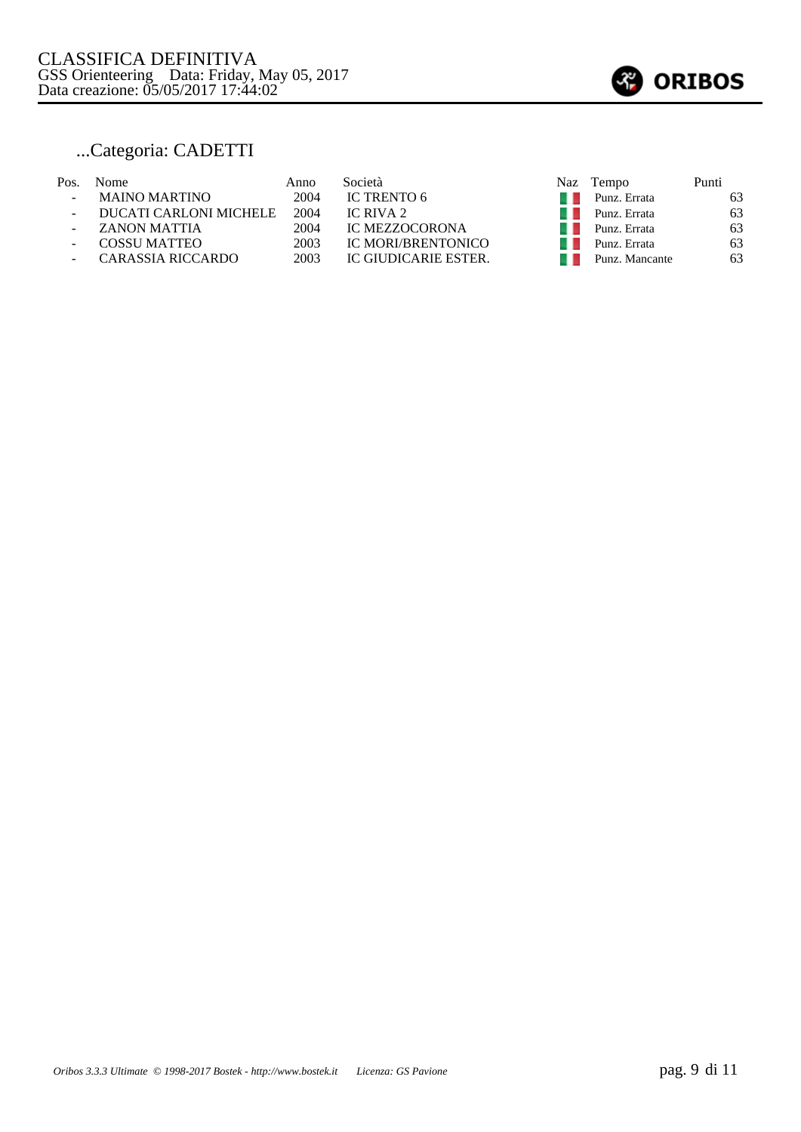

# ...Categoria: CADETTI

| Pos. | <b>Nome</b>              | Anno | Società                   | Naz | Tempo          | Punti |
|------|--------------------------|------|---------------------------|-----|----------------|-------|
|      | <b>MAINO MARTINO</b>     | 2004 | IC TRENTO 6               |     | Punz. Errata   | 63    |
|      | DUCATI CARLONI MICHELE   | 2004 | IC RIVA 2                 |     | Punz. Errata   | 63    |
|      | ZANON MATTIA             | 2004 | <b>IC MEZZOCORONA</b>     |     | Punz. Errata   | 63    |
|      | <b>COSSU MATTEO</b>      | 2003 | <b>IC MORI/BRENTONICO</b> |     | Punz. Errata   | 63    |
|      | <b>CARASSIA RICCARDO</b> | 2003 | IC GIUDICARIE ESTER.      |     | Punz. Mancante | 63    |
|      |                          |      |                           |     |                |       |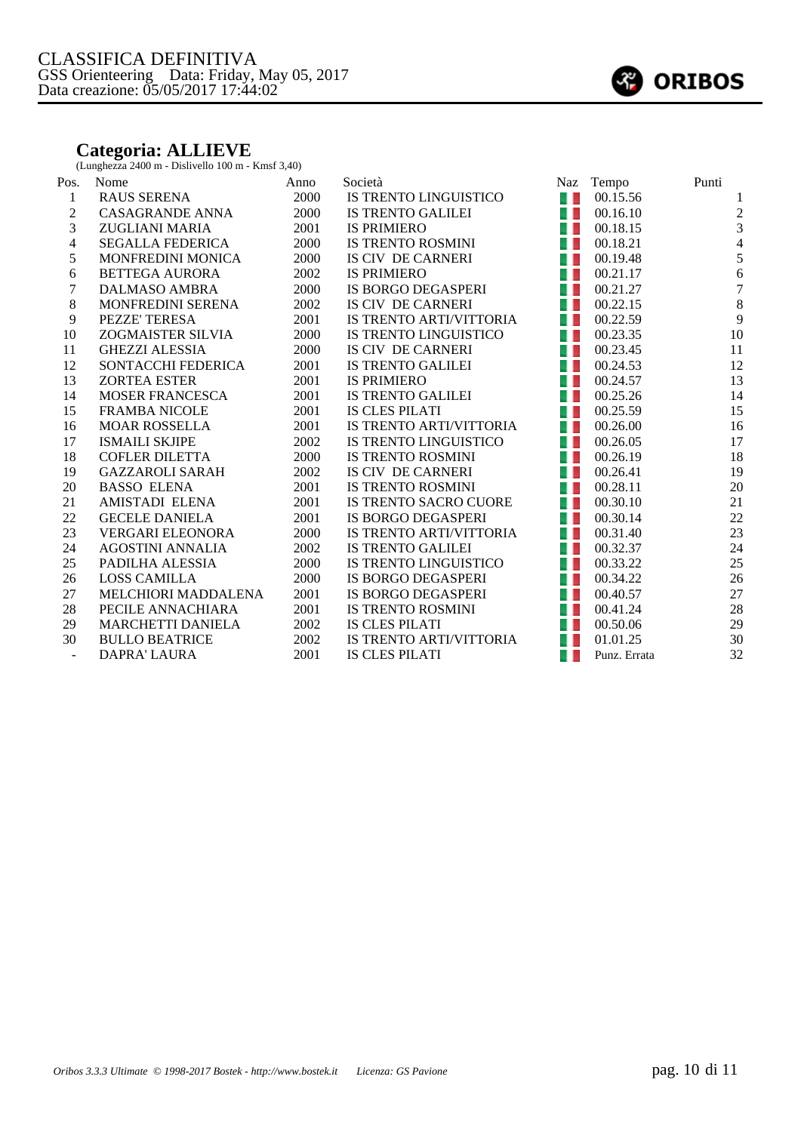## **Categoria: ALLIEVE**

(Lunghezza 2400 m - Dislivello 100 m - Kmsf 3,40)

| Nome                       | Anno | Società                      | <b>Naz</b> | Tempo        | Punti          |
|----------------------------|------|------------------------------|------------|--------------|----------------|
| <b>RAUS SERENA</b>         | 2000 | IS TRENTO LINGUISTICO        | 41         | 00.15.56     |                |
| <b>CASAGRANDE ANNA</b>     | 2000 | IS TRENTO GALILEI            | a L        | 00.16.10     | $\sqrt{2}$     |
| <b>ZUGLIANI MARIA</b>      | 2001 | <b>IS PRIMIERO</b>           | a. L       | 00.18.15     | 3              |
| <b>SEGALLA FEDERICA</b>    | 2000 | <b>IS TRENTO ROSMINI</b>     | 41         | 00.18.21     | $\overline{4}$ |
| <b>MONFREDINI MONICA</b>   | 2000 | IS CIV DE CARNERI            | 41         | 00.19.48     | $\sqrt{5}$     |
| <b>BETTEGA AURORA</b>      | 2002 | <b>IS PRIMIERO</b>           | 41         | 00.21.17     | 6              |
| DALMASO AMBRA              | 2000 | IS BORGO DEGASPERI           | a L        | 00.21.27     | $\overline{7}$ |
| MONFREDINI SERENA          | 2002 | IS CIV DE CARNERI            | a L        | 00.22.15     | $\,8\,$        |
| PEZZE' TERESA              | 2001 | IS TRENTO ARTI/VITTORIA      | 41         | 00.22.59     | 9              |
| ZOGMAISTER SILVIA          | 2000 | IS TRENTO LINGUISTICO        | a L        | 00.23.35     | $10\,$         |
| <b>GHEZZI ALESSIA</b>      | 2000 | IS CIV DE CARNERI            | 41         | 00.23.45     | 11             |
| <b>SONTACCHI FEDERICA</b>  | 2001 | <b>IS TRENTO GALILEI</b>     | 41         | 00.24.53     | 12             |
| <b>ZORTEA ESTER</b>        | 2001 | <b>IS PRIMIERO</b>           | 41         | 00.24.57     | 13             |
| <b>MOSER FRANCESCA</b>     | 2001 | <b>IS TRENTO GALILEI</b>     | 41         | 00.25.26     | 14             |
| <b>FRAMBA NICOLE</b>       | 2001 | IS CLES PILATI               | a. L       | 00.25.59     | 15             |
| <b>MOAR ROSSELLA</b>       | 2001 | IS TRENTO ARTI/VITTORIA      | 4 L        | 00.26.00     | 16             |
| <b>ISMAILI SKJIPE</b>      | 2002 | IS TRENTO LINGUISTICO        | a L        | 00.26.05     | 17             |
| <b>COFLER DILETTA</b>      | 2000 | <b>IS TRENTO ROSMINI</b>     | 41         | 00.26.19     | 18             |
| <b>GAZZAROLI SARAH</b>     | 2002 | IS CIV DE CARNERI            | a L        | 00.26.41     | 19             |
| <b>BASSO ELENA</b>         | 2001 | <b>IS TRENTO ROSMINI</b>     | a L        | 00.28.11     | 20             |
| <b>AMISTADI ELENA</b>      | 2001 | <b>IS TRENTO SACRO CUORE</b> | 41         | 00.30.10     | 21             |
| <b>GECELE DANIELA</b>      | 2001 | IS BORGO DEGASPERI           | a L        | 00.30.14     | 22             |
| <b>VERGARI ELEONORA</b>    | 2000 | IS TRENTO ARTI/VITTORIA      | a L        | 00.31.40     | 23             |
| <b>AGOSTINI ANNALIA</b>    | 2002 | <b>IS TRENTO GALILEI</b>     | 41         | 00.32.37     | 24             |
| PADILHA ALESSIA            | 2000 | IS TRENTO LINGUISTICO        | a L        | 00.33.22     | 25             |
| <b>LOSS CAMILLA</b>        | 2000 | IS BORGO DEGASPERI           | a L        | 00.34.22     | 26             |
| <b>MELCHIORI MADDALENA</b> | 2001 | IS BORGO DEGASPERI           | 41         | 00.40.57     | 27             |
| PECILE ANNACHIARA          | 2001 | <b>IS TRENTO ROSMINI</b>     | 41         | 00.41.24     | $28\,$         |
| <b>MARCHETTI DANIELA</b>   | 2002 | <b>IS CLES PILATI</b>        | 41         | 00.50.06     | 29             |
| <b>BULLO BEATRICE</b>      | 2002 | IS TRENTO ARTI/VITTORIA      | a. L       | 01.01.25     | 30             |
| <b>DAPRA' LAURA</b>        | 2001 | <b>IS CLES PILATI</b>        | a L        | Punz. Errata | 32             |
|                            |      |                              |            |              |                |